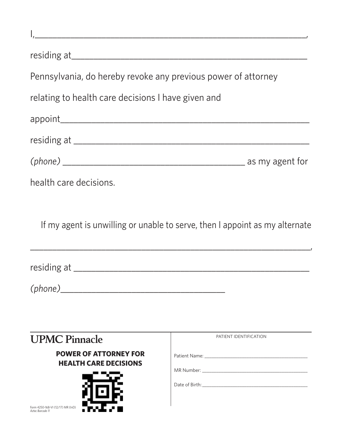| Pennsylvania, do hereby revoke any previous power of attorney<br>relating to health care decisions I have given and |                                                                             |  |  |  |
|---------------------------------------------------------------------------------------------------------------------|-----------------------------------------------------------------------------|--|--|--|
|                                                                                                                     |                                                                             |  |  |  |
|                                                                                                                     |                                                                             |  |  |  |
|                                                                                                                     |                                                                             |  |  |  |
| health care decisions.                                                                                              |                                                                             |  |  |  |
|                                                                                                                     | If my agent is unwilling or unable to serve, then I appoint as my alternate |  |  |  |
|                                                                                                                     |                                                                             |  |  |  |
| (phone)                                                                                                             |                                                                             |  |  |  |
|                                                                                                                     |                                                                             |  |  |  |
| <b>UPMC Pinnacle</b>                                                                                                | PATIENT IDENTIFICATION                                                      |  |  |  |
| <b>POWER OF ATTORNEY FOR</b><br><b>HEALTH CARE DECISIONS</b>                                                        |                                                                             |  |  |  |
|                                                                                                                     |                                                                             |  |  |  |
| Form 4250-168-VI (12/17) MR (InD)<br>Aztec Barcode 11                                                               |                                                                             |  |  |  |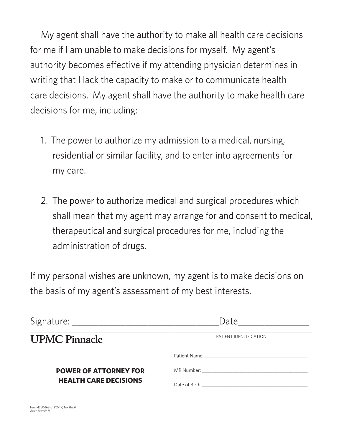My agent shall have the authority to make all health care decisions for me if I am unable to make decisions for myself. My agent's authority becomes effective if my attending physician determines in writing that I lack the capacity to make or to communicate health care decisions. My agent shall have the authority to make health care decisions for me, including:

- 1. The power to authorize my admission to a medical, nursing, residential or similar facility, and to enter into agreements for my care.
- 2. The power to authorize medical and surgical procedures which shall mean that my agent may arrange for and consent to medical, therapeutical and surgical procedures for me, including the administration of drugs.

If my personal wishes are unknown, my agent is to make decisions on the basis of my agent's assessment of my best interests.

|                                                              | Date<br>PATIENT IDENTIFICATION |  |
|--------------------------------------------------------------|--------------------------------|--|
| <b>UPMC Pinnacle</b>                                         |                                |  |
| <b>POWER OF ATTORNEY FOR</b><br><b>HEALTH CARE DECISIONS</b> |                                |  |